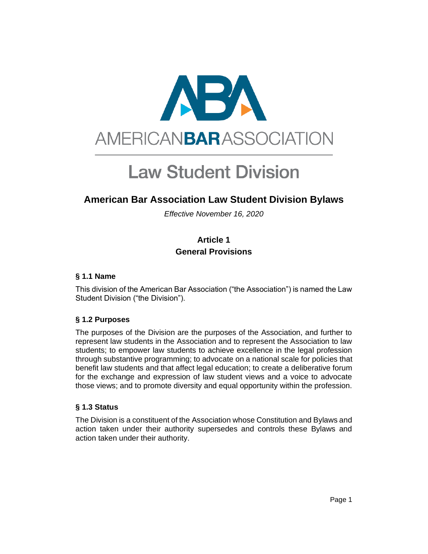

# **Law Student Division**

# **American Bar Association Law Student Division Bylaws**

*Effective November 16, 2020*

# **Article 1 General Provisions**

#### **§ 1.1 Name**

This division of the American Bar Association ("the Association") is named the Law Student Division ("the Division").

# **§ 1.2 Purposes**

The purposes of the Division are the purposes of the Association, and further to represent law students in the Association and to represent the Association to law students; to empower law students to achieve excellence in the legal profession through substantive programming; to advocate on a national scale for policies that benefit law students and that affect legal education; to create a deliberative forum for the exchange and expression of law student views and a voice to advocate those views; and to promote diversity and equal opportunity within the profession.

# **§ 1.3 Status**

The Division is a constituent of the Association whose Constitution and Bylaws and action taken under their authority supersedes and controls these Bylaws and action taken under their authority.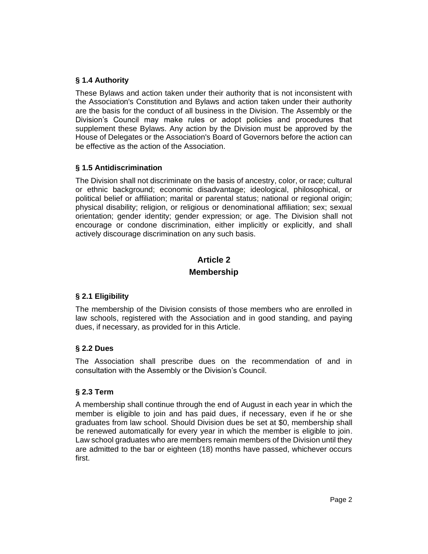# **§ 1.4 Authority**

These Bylaws and action taken under their authority that is not inconsistent with the Association's Constitution and Bylaws and action taken under their authority are the basis for the conduct of all business in the Division. The Assembly or the Division's Council may make rules or adopt policies and procedures that supplement these Bylaws. Any action by the Division must be approved by the House of Delegates or the Association's Board of Governors before the action can be effective as the action of the Association.

# **§ 1.5 Antidiscrimination**

The Division shall not discriminate on the basis of ancestry, color, or race; cultural or ethnic background; economic disadvantage; ideological, philosophical, or political belief or affiliation; marital or parental status; national or regional origin; physical disability; religion, or religious or denominational affiliation; sex; sexual orientation; gender identity; gender expression; or age. The Division shall not encourage or condone discrimination, either implicitly or explicitly, and shall actively discourage discrimination on any such basis.

# **Article 2 Membership**

# **§ 2.1 Eligibility**

The membership of the Division consists of those members who are enrolled in law schools, registered with the Association and in good standing, and paying dues, if necessary, as provided for in this Article.

# **§ 2.2 Dues**

The Association shall prescribe dues on the recommendation of and in consultation with the Assembly or the Division's Council.

# **§ 2.3 Term**

A membership shall continue through the end of August in each year in which the member is eligible to join and has paid dues, if necessary, even if he or she graduates from law school. Should Division dues be set at \$0, membership shall be renewed automatically for every year in which the member is eligible to join. Law school graduates who are members remain members of the Division until they are admitted to the bar or eighteen (18) months have passed, whichever occurs first.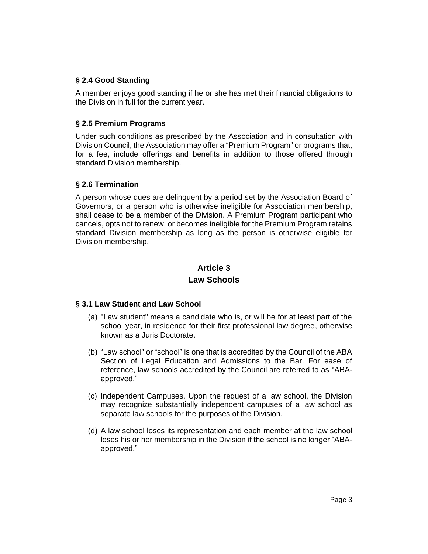# **§ 2.4 Good Standing**

A member enjoys good standing if he or she has met their financial obligations to the Division in full for the current year.

#### **§ 2.5 Premium Programs**

Under such conditions as prescribed by the Association and in consultation with Division Council, the Association may offer a "Premium Program" or programs that, for a fee, include offerings and benefits in addition to those offered through standard Division membership.

#### **§ 2.6 Termination**

A person whose dues are delinquent by a period set by the Association Board of Governors, or a person who is otherwise ineligible for Association membership, shall cease to be a member of the Division. A Premium Program participant who cancels, opts not to renew, or becomes ineligible for the Premium Program retains standard Division membership as long as the person is otherwise eligible for Division membership.

# **Article 3 Law Schools**

# **§ 3.1 Law Student and Law School**

- (a) "Law student" means a candidate who is, or will be for at least part of the school year, in residence for their first professional law degree, otherwise known as a Juris Doctorate.
- (b) "Law school" or "school" is one that is accredited by the Council of the ABA Section of Legal Education and Admissions to the Bar. For ease of reference, law schools accredited by the Council are referred to as "ABAapproved."
- (c) Independent Campuses. Upon the request of a law school, the Division may recognize substantially independent campuses of a law school as separate law schools for the purposes of the Division.
- (d) A law school loses its representation and each member at the law school loses his or her membership in the Division if the school is no longer "ABAapproved."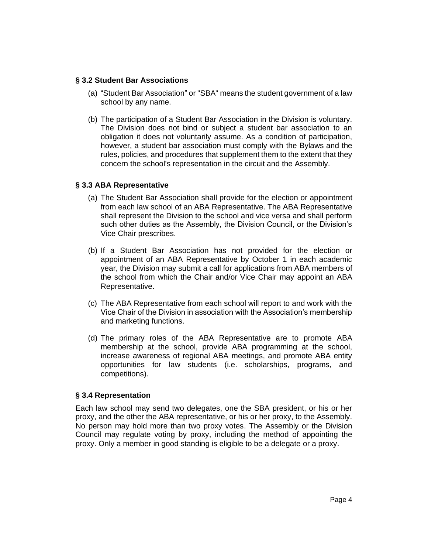#### **§ 3.2 Student Bar Associations**

- (a) "Student Bar Association" or "SBA" means the student government of a law school by any name.
- (b) The participation of a Student Bar Association in the Division is voluntary. The Division does not bind or subject a student bar association to an obligation it does not voluntarily assume. As a condition of participation, however, a student bar association must comply with the Bylaws and the rules, policies, and procedures that supplement them to the extent that they concern the school's representation in the circuit and the Assembly.

#### **§ 3.3 ABA Representative**

- (a) The Student Bar Association shall provide for the election or appointment from each law school of an ABA Representative. The ABA Representative shall represent the Division to the school and vice versa and shall perform such other duties as the Assembly, the Division Council, or the Division's Vice Chair prescribes.
- (b) If a Student Bar Association has not provided for the election or appointment of an ABA Representative by October 1 in each academic year, the Division may submit a call for applications from ABA members of the school from which the Chair and/or Vice Chair may appoint an ABA Representative.
- (c) The ABA Representative from each school will report to and work with the Vice Chair of the Division in association with the Association's membership and marketing functions.
- (d) The primary roles of the ABA Representative are to promote ABA membership at the school, provide ABA programming at the school, increase awareness of regional ABA meetings, and promote ABA entity opportunities for law students (i.e. scholarships, programs, and competitions).

#### **§ 3.4 Representation**

Each law school may send two delegates, one the SBA president, or his or her proxy, and the other the ABA representative, or his or her proxy, to the Assembly. No person may hold more than two proxy votes. The Assembly or the Division Council may regulate voting by proxy, including the method of appointing the proxy. Only a member in good standing is eligible to be a delegate or a proxy.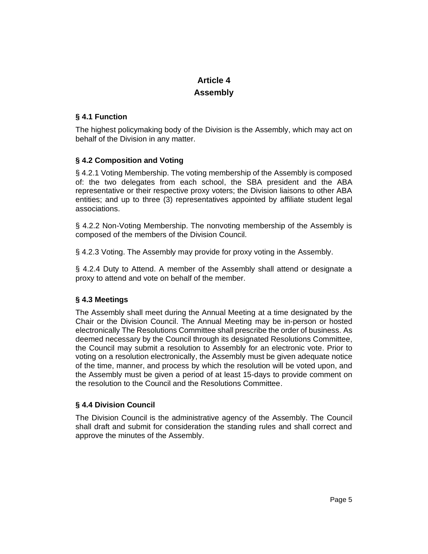# **Article 4 Assembly**

# **§ 4.1 Function**

The highest policymaking body of the Division is the Assembly, which may act on behalf of the Division in any matter.

# **§ 4.2 Composition and Voting**

§ 4.2.1 Voting Membership. The voting membership of the Assembly is composed of: the two delegates from each school, the SBA president and the ABA representative or their respective proxy voters; the Division liaisons to other ABA entities; and up to three (3) representatives appointed by affiliate student legal associations.

§ 4.2.2 Non-Voting Membership. The nonvoting membership of the Assembly is composed of the members of the Division Council.

§ 4.2.3 Voting. The Assembly may provide for proxy voting in the Assembly.

§ 4.2.4 Duty to Attend. A member of the Assembly shall attend or designate a proxy to attend and vote on behalf of the member.

# **§ 4.3 Meetings**

The Assembly shall meet during the Annual Meeting at a time designated by the Chair or the Division Council. The Annual Meeting may be in-person or hosted electronically The Resolutions Committee shall prescribe the order of business. As deemed necessary by the Council through its designated Resolutions Committee, the Council may submit a resolution to Assembly for an electronic vote. Prior to voting on a resolution electronically, the Assembly must be given adequate notice of the time, manner, and process by which the resolution will be voted upon, and the Assembly must be given a period of at least 15-days to provide comment on the resolution to the Council and the Resolutions Committee.

# **§ 4.4 Division Council**

The Division Council is the administrative agency of the Assembly. The Council shall draft and submit for consideration the standing rules and shall correct and approve the minutes of the Assembly.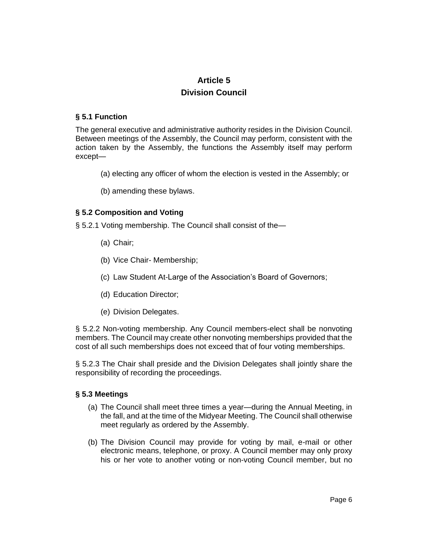# **Article 5 Division Council**

#### **§ 5.1 Function**

The general executive and administrative authority resides in the Division Council. Between meetings of the Assembly, the Council may perform, consistent with the action taken by the Assembly, the functions the Assembly itself may perform except—

- (a) electing any officer of whom the election is vested in the Assembly; or
- (b) amending these bylaws.

# **§ 5.2 Composition and Voting**

§ 5.2.1 Voting membership. The Council shall consist of the—

- (a) Chair;
- (b) Vice Chair- Membership;
- (c) Law Student At-Large of the Association's Board of Governors;
- (d) Education Director;
- (e) Division Delegates.

§ 5.2.2 Non-voting membership. Any Council members-elect shall be nonvoting members. The Council may create other nonvoting memberships provided that the cost of all such memberships does not exceed that of four voting memberships.

§ 5.2.3 The Chair shall preside and the Division Delegates shall jointly share the responsibility of recording the proceedings.

#### **§ 5.3 Meetings**

- (a) The Council shall meet three times a year—during the Annual Meeting, in the fall, and at the time of the Midyear Meeting. The Council shall otherwise meet regularly as ordered by the Assembly.
- (b) The Division Council may provide for voting by mail, e-mail or other electronic means, telephone, or proxy. A Council member may only proxy his or her vote to another voting or non-voting Council member, but no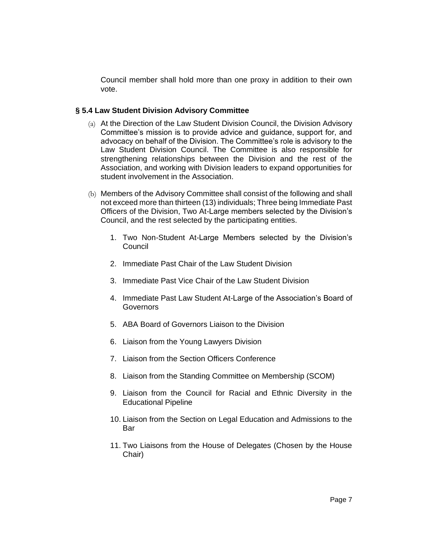Council member shall hold more than one proxy in addition to their own vote.

#### **§ 5.4 Law Student Division Advisory Committee**

- (a) At the Direction of the Law Student Division Council, the Division Advisory Committee's mission is to provide advice and guidance, support for, and advocacy on behalf of the Division. The Committee's role is advisory to the Law Student Division Council. The Committee is also responsible for strengthening relationships between the Division and the rest of the Association, and working with Division leaders to expand opportunities for student involvement in the Association.
- (b) Members of the Advisory Committee shall consist of the following and shall not exceed more than thirteen (13) individuals; Three being Immediate Past Officers of the Division, Two At-Large members selected by the Division's Council, and the rest selected by the participating entities.
	- 1. Two Non-Student At-Large Members selected by the Division's **Council**
	- 2. Immediate Past Chair of the Law Student Division
	- 3. Immediate Past Vice Chair of the Law Student Division
	- 4. Immediate Past Law Student At-Large of the Association's Board of **Governors**
	- 5. ABA Board of Governors Liaison to the Division
	- 6. Liaison from the Young Lawyers Division
	- 7. Liaison from the Section Officers Conference
	- 8. Liaison from the Standing Committee on Membership (SCOM)
	- 9. Liaison from the Council for Racial and Ethnic Diversity in the Educational Pipeline
	- 10. Liaison from the Section on Legal Education and Admissions to the Bar
	- 11. Two Liaisons from the House of Delegates (Chosen by the House Chair)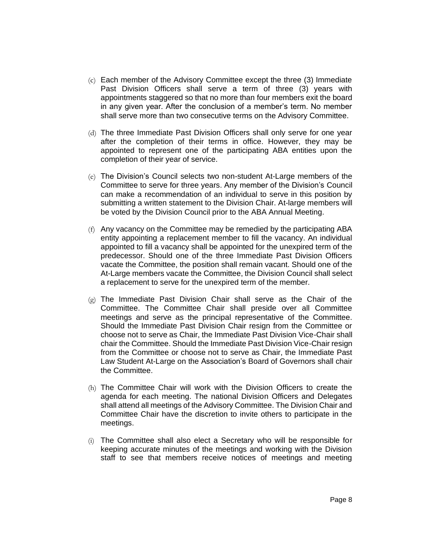- (c) Each member of the Advisory Committee except the three (3) Immediate Past Division Officers shall serve a term of three (3) years with appointments staggered so that no more than four members exit the board in any given year. After the conclusion of a member's term. No member shall serve more than two consecutive terms on the Advisory Committee.
- (d) The three Immediate Past Division Officers shall only serve for one year after the completion of their terms in office. However, they may be appointed to represent one of the participating ABA entities upon the completion of their year of service.
- (e) The Division's Council selects two non-student At-Large members of the Committee to serve for three years. Any member of the Division's Council can make a recommendation of an individual to serve in this position by submitting a written statement to the Division Chair. At-large members will be voted by the Division Council prior to the ABA Annual Meeting.
- (f) Any vacancy on the Committee may be remedied by the participating ABA entity appointing a replacement member to fill the vacancy. An individual appointed to fill a vacancy shall be appointed for the unexpired term of the predecessor. Should one of the three Immediate Past Division Officers vacate the Committee, the position shall remain vacant. Should one of the At-Large members vacate the Committee, the Division Council shall select a replacement to serve for the unexpired term of the member.
- (g) The Immediate Past Division Chair shall serve as the Chair of the Committee. The Committee Chair shall preside over all Committee meetings and serve as the principal representative of the Committee. Should the Immediate Past Division Chair resign from the Committee or choose not to serve as Chair, the Immediate Past Division Vice-Chair shall chair the Committee. Should the Immediate Past Division Vice-Chair resign from the Committee or choose not to serve as Chair, the Immediate Past Law Student At-Large on the Association's Board of Governors shall chair the Committee.
- (h) The Committee Chair will work with the Division Officers to create the agenda for each meeting. The national Division Officers and Delegates shall attend all meetings of the Advisory Committee. The Division Chair and Committee Chair have the discretion to invite others to participate in the meetings.
- (i) The Committee shall also elect a Secretary who will be responsible for keeping accurate minutes of the meetings and working with the Division staff to see that members receive notices of meetings and meeting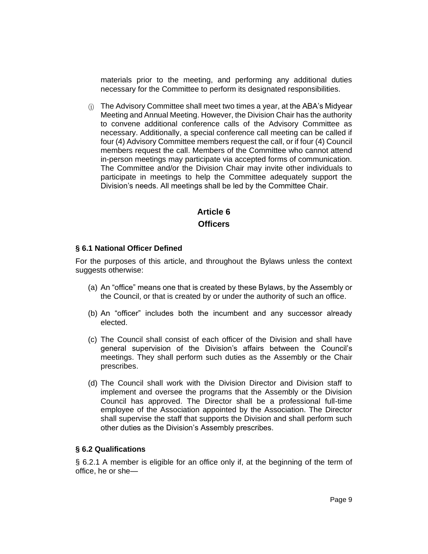materials prior to the meeting, and performing any additional duties necessary for the Committee to perform its designated responsibilities.

(j) The Advisory Committee shall meet two times a year, at the ABA's Midyear Meeting and Annual Meeting. However, the Division Chair has the authority to convene additional conference calls of the Advisory Committee as necessary. Additionally, a special conference call meeting can be called if four (4) Advisory Committee members request the call, or if four (4) Council members request the call. Members of the Committee who cannot attend in-person meetings may participate via accepted forms of communication. The Committee and/or the Division Chair may invite other individuals to participate in meetings to help the Committee adequately support the Division's needs. All meetings shall be led by the Committee Chair.

# **Article 6 Officers**

#### **§ 6.1 National Officer Defined**

For the purposes of this article, and throughout the Bylaws unless the context suggests otherwise:

- (a) An "office" means one that is created by these Bylaws, by the Assembly or the Council, or that is created by or under the authority of such an office.
- (b) An "officer" includes both the incumbent and any successor already elected.
- (c) The Council shall consist of each officer of the Division and shall have general supervision of the Division's affairs between the Council's meetings. They shall perform such duties as the Assembly or the Chair prescribes.
- (d) The Council shall work with the Division Director and Division staff to implement and oversee the programs that the Assembly or the Division Council has approved. The Director shall be a professional full-time employee of the Association appointed by the Association. The Director shall supervise the staff that supports the Division and shall perform such other duties as the Division's Assembly prescribes.

# **§ 6.2 Qualifications**

§ 6.2.1 A member is eligible for an office only if, at the beginning of the term of office, he or she—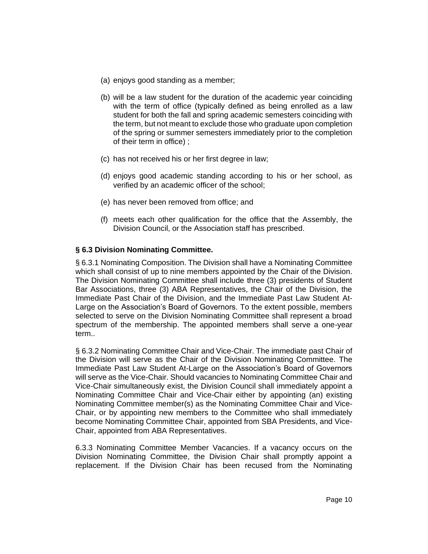- (a) enjoys good standing as a member;
- (b) will be a law student for the duration of the academic year coinciding with the term of office (typically defined as being enrolled as a law student for both the fall and spring academic semesters coinciding with the term, but not meant to exclude those who graduate upon completion of the spring or summer semesters immediately prior to the completion of their term in office) ;
- (c) has not received his or her first degree in law;
- (d) enjoys good academic standing according to his or her school, as verified by an academic officer of the school;
- (e) has never been removed from office; and
- (f) meets each other qualification for the office that the Assembly, the Division Council, or the Association staff has prescribed.

# **§ 6.3 Division Nominating Committee.**

§ 6.3.1 Nominating Composition. The Division shall have a Nominating Committee which shall consist of up to nine members appointed by the Chair of the Division. The Division Nominating Committee shall include three (3) presidents of Student Bar Associations, three (3) ABA Representatives, the Chair of the Division, the Immediate Past Chair of the Division, and the Immediate Past Law Student At-Large on the Association's Board of Governors. To the extent possible, members selected to serve on the Division Nominating Committee shall represent a broad spectrum of the membership. The appointed members shall serve a one-year term..

§ 6.3.2 Nominating Committee Chair and Vice-Chair. The immediate past Chair of the Division will serve as the Chair of the Division Nominating Committee. The Immediate Past Law Student At-Large on the Association's Board of Governors will serve as the Vice-Chair. Should vacancies to Nominating Committee Chair and Vice-Chair simultaneously exist, the Division Council shall immediately appoint a Nominating Committee Chair and Vice-Chair either by appointing (an) existing Nominating Committee member(s) as the Nominating Committee Chair and Vice-Chair, or by appointing new members to the Committee who shall immediately become Nominating Committee Chair, appointed from SBA Presidents, and Vice-Chair, appointed from ABA Representatives.

6.3.3 Nominating Committee Member Vacancies. If a vacancy occurs on the Division Nominating Committee, the Division Chair shall promptly appoint a replacement. If the Division Chair has been recused from the Nominating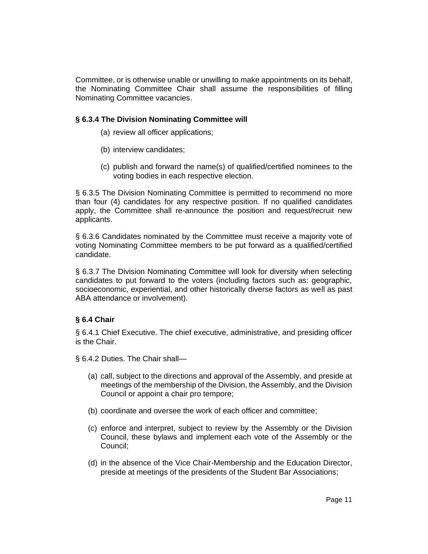Committee, or is otherwise unable or unwilling to make appointments on its behalf, the Nominating Committee Chair shall assume the responsibilities of filling Nominating Committee vacancies.

#### **§ 6.3.4 The Division Nominating Committee will**

- (a) review all officer applications;
- (b) interview candidates;
- (c) publish and forward the name(s) of qualified/certified nominees to the voting bodies in each respective election.

§ 6.3.5 The Division Nominating Committee is permitted to recommend no more than four (4) candidates for any respective position. If no qualified candidates apply, the Committee shall re-announce the position and request/recruit new applicants.

§ 6.3.6 Candidates nominated by the Committee must receive a majority vote of voting Nominating Committee members to be put forward as a qualified/certified candidate.

§ 6.3.7 The Division Nominating Committee will look for diversity when selecting candidates to put forward to the voters (including factors such as: geographic, socioeconomic, experiential, and other historically diverse factors as well as past ABA attendance or involvement).

#### **§ 6.4 Chair**

§ 6.4.1 Chief Executive. The chief executive, administrative, and presiding officer is the Chair.

§ 6.4.2 Duties. The Chair shall—

- (a) call, subject to the directions and approval of the Assembly, and preside at meetings of the membership of the Division, the Assembly, and the Division Council or appoint a chair pro tempore;
- (b) coordinate and oversee the work of each officer and committee;
- (c) enforce and interpret, subject to review by the Assembly or the Division Council, these bylaws and implement each vote of the Assembly or the Council;
- (d) in the absence of the Vice Chair-Membership and the Education Director, preside at meetings of the presidents of the Student Bar Associations;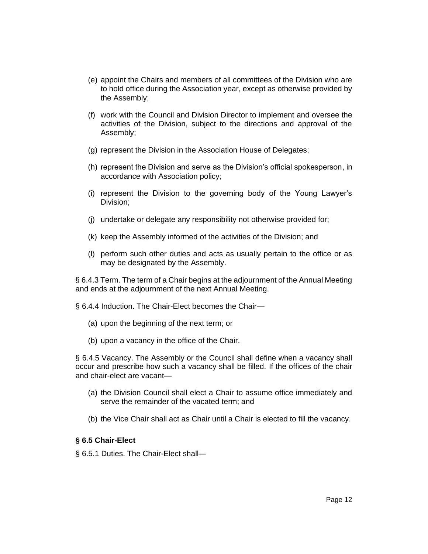- (e) appoint the Chairs and members of all committees of the Division who are to hold office during the Association year, except as otherwise provided by the Assembly;
- (f) work with the Council and Division Director to implement and oversee the activities of the Division, subject to the directions and approval of the Assembly;
- (g) represent the Division in the Association House of Delegates;
- (h) represent the Division and serve as the Division's official spokesperson, in accordance with Association policy;
- (i) represent the Division to the governing body of the Young Lawyer's Division;
- (j) undertake or delegate any responsibility not otherwise provided for;
- (k) keep the Assembly informed of the activities of the Division; and
- (l) perform such other duties and acts as usually pertain to the office or as may be designated by the Assembly.

§ 6.4.3 Term. The term of a Chair begins at the adjournment of the Annual Meeting and ends at the adjournment of the next Annual Meeting.

§ 6.4.4 Induction. The Chair-Elect becomes the Chair—

- (a) upon the beginning of the next term; or
- (b) upon a vacancy in the office of the Chair.

§ 6.4.5 Vacancy. The Assembly or the Council shall define when a vacancy shall occur and prescribe how such a vacancy shall be filled. If the offices of the chair and chair-elect are vacant—

- (a) the Division Council shall elect a Chair to assume office immediately and serve the remainder of the vacated term; and
- (b) the Vice Chair shall act as Chair until a Chair is elected to fill the vacancy.

#### **§ 6.5 Chair-Elect**

§ 6.5.1 Duties. The Chair-Elect shall—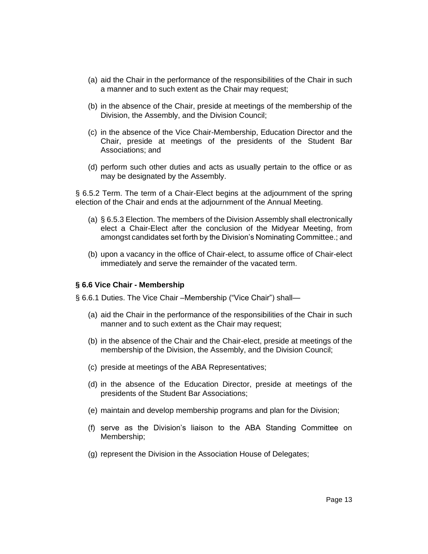- (a) aid the Chair in the performance of the responsibilities of the Chair in such a manner and to such extent as the Chair may request;
- (b) in the absence of the Chair, preside at meetings of the membership of the Division, the Assembly, and the Division Council;
- (c) in the absence of the Vice Chair-Membership, Education Director and the Chair, preside at meetings of the presidents of the Student Bar Associations; and
- (d) perform such other duties and acts as usually pertain to the office or as may be designated by the Assembly.

§ 6.5.2 Term. The term of a Chair-Elect begins at the adjournment of the spring election of the Chair and ends at the adjournment of the Annual Meeting.

- (a) § 6.5.3 Election. The members of the Division Assembly shall electronically elect a Chair-Elect after the conclusion of the Midyear Meeting, from amongst candidates set forth by the Division's Nominating Committee.; and
- (b) upon a vacancy in the office of Chair-elect, to assume office of Chair-elect immediately and serve the remainder of the vacated term.

#### **§ 6.6 Vice Chair - Membership**

§ 6.6.1 Duties. The Vice Chair –Membership ("Vice Chair") shall—

- (a) aid the Chair in the performance of the responsibilities of the Chair in such manner and to such extent as the Chair may request;
- (b) in the absence of the Chair and the Chair-elect, preside at meetings of the membership of the Division, the Assembly, and the Division Council;
- (c) preside at meetings of the ABA Representatives;
- (d) in the absence of the Education Director, preside at meetings of the presidents of the Student Bar Associations;
- (e) maintain and develop membership programs and plan for the Division;
- (f) serve as the Division's liaison to the ABA Standing Committee on Membership;
- (g) represent the Division in the Association House of Delegates;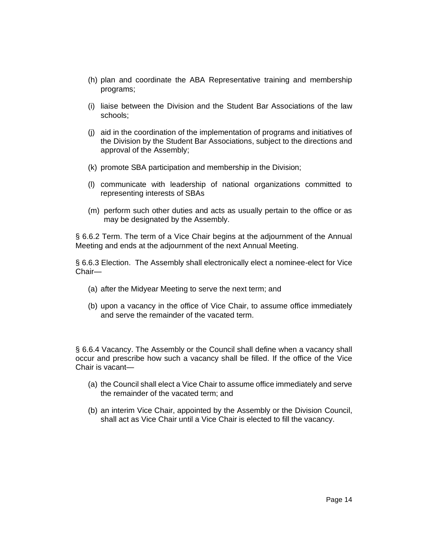- (h) plan and coordinate the ABA Representative training and membership programs;
- (i) liaise between the Division and the Student Bar Associations of the law schools;
- (j) aid in the coordination of the implementation of programs and initiatives of the Division by the Student Bar Associations, subject to the directions and approval of the Assembly;
- (k) promote SBA participation and membership in the Division;
- (l) communicate with leadership of national organizations committed to representing interests of SBAs
- (m) perform such other duties and acts as usually pertain to the office or as may be designated by the Assembly.

§ 6.6.2 Term. The term of a Vice Chair begins at the adjournment of the Annual Meeting and ends at the adjournment of the next Annual Meeting.

§ 6.6.3 Election. The Assembly shall electronically elect a nominee-elect for Vice Chair—

- (a) after the Midyear Meeting to serve the next term; and
- (b) upon a vacancy in the office of Vice Chair, to assume office immediately and serve the remainder of the vacated term.

§ 6.6.4 Vacancy. The Assembly or the Council shall define when a vacancy shall occur and prescribe how such a vacancy shall be filled. If the office of the Vice Chair is vacant—

- (a) the Council shall elect a Vice Chair to assume office immediately and serve the remainder of the vacated term; and
- (b) an interim Vice Chair, appointed by the Assembly or the Division Council, shall act as Vice Chair until a Vice Chair is elected to fill the vacancy.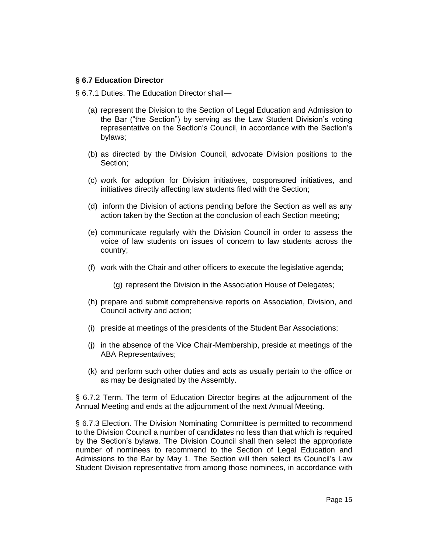#### **§ 6.7 Education Director**

§ 6.7.1 Duties. The Education Director shall-

- (a) represent the Division to the Section of Legal Education and Admission to the Bar ("the Section") by serving as the Law Student Division's voting representative on the Section's Council, in accordance with the Section's bylaws;
- (b) as directed by the Division Council, advocate Division positions to the Section;
- (c) work for adoption for Division initiatives, cosponsored initiatives, and initiatives directly affecting law students filed with the Section;
- (d) inform the Division of actions pending before the Section as well as any action taken by the Section at the conclusion of each Section meeting;
- (e) communicate regularly with the Division Council in order to assess the voice of law students on issues of concern to law students across the country;
- (f) work with the Chair and other officers to execute the legislative agenda;
	- (g) represent the Division in the Association House of Delegates;
- (h) prepare and submit comprehensive reports on Association, Division, and Council activity and action;
- (i) preside at meetings of the presidents of the Student Bar Associations;
- (j) in the absence of the Vice Chair-Membership, preside at meetings of the ABA Representatives;
- (k) and perform such other duties and acts as usually pertain to the office or as may be designated by the Assembly.

§ 6.7.2 Term. The term of Education Director begins at the adjournment of the Annual Meeting and ends at the adjournment of the next Annual Meeting.

§ 6.7.3 Election. The Division Nominating Committee is permitted to recommend to the Division Council a number of candidates no less than that which is required by the Section's bylaws. The Division Council shall then select the appropriate number of nominees to recommend to the Section of Legal Education and Admissions to the Bar by May 1. The Section will then select its Council's Law Student Division representative from among those nominees, in accordance with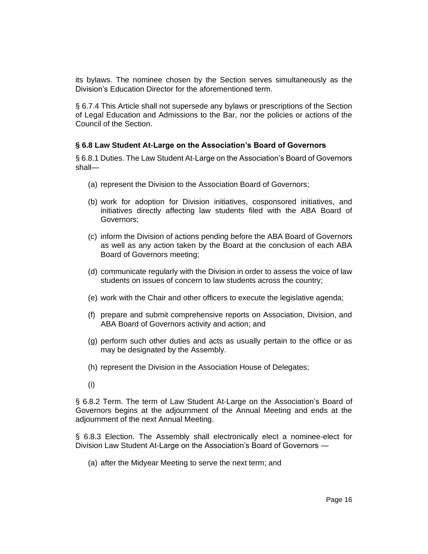its bylaws. The nominee chosen by the Section serves simultaneously as the Division's Education Director for the aforementioned term.

§ 6.7.4 This Article shall not supersede any bylaws or prescriptions of the Section of Legal Education and Admissions to the Bar, nor the policies or actions of the Council of the Section.

#### **§ 6.8 Law Student At-Large on the Association's Board of Governors**

§ 6.8.1 Duties. The Law Student At-Large on the Association's Board of Governors shall—

- (a) represent the Division to the Association Board of Governors;
- (b) work for adoption for Division initiatives, cosponsored initiatives, and initiatives directly affecting law students filed with the ABA Board of Governors;
- (c) inform the Division of actions pending before the ABA Board of Governors as well as any action taken by the Board at the conclusion of each ABA Board of Governors meeting;
- (d) communicate regularly with the Division in order to assess the voice of law students on issues of concern to law students across the country;
- (e) work with the Chair and other officers to execute the legislative agenda;
- (f) prepare and submit comprehensive reports on Association, Division, and ABA Board of Governors activity and action; and
- (g) perform such other duties and acts as usually pertain to the office or as may be designated by the Assembly.
- (h) represent the Division in the Association House of Delegates;
- (i)

§ 6.8.2 Term. The term of Law Student At-Large on the Association's Board of Governors begins at the adjournment of the Annual Meeting and ends at the adjournment of the next Annual Meeting.

§ 6.8.3 Election. The Assembly shall electronically elect a nominee-elect for Division Law Student At-Large on the Association's Board of Governors —

(a) after the Midyear Meeting to serve the next term; and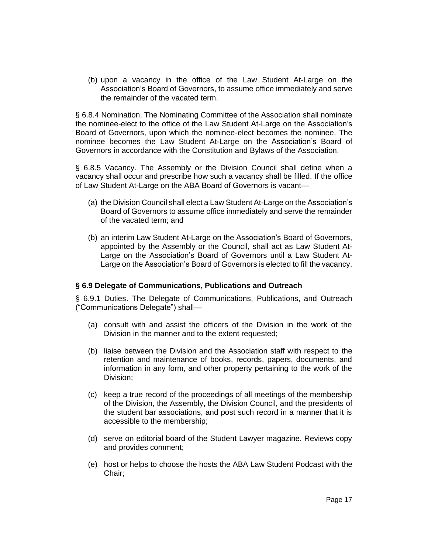(b) upon a vacancy in the office of the Law Student At-Large on the Association's Board of Governors, to assume office immediately and serve the remainder of the vacated term.

§ 6.8.4 Nomination. The Nominating Committee of the Association shall nominate the nominee-elect to the office of the Law Student At-Large on the Association's Board of Governors, upon which the nominee-elect becomes the nominee. The nominee becomes the Law Student At-Large on the Association's Board of Governors in accordance with the Constitution and Bylaws of the Association.

§ 6.8.5 Vacancy. The Assembly or the Division Council shall define when a vacancy shall occur and prescribe how such a vacancy shall be filled. If the office of Law Student At-Large on the ABA Board of Governors is vacant—

- (a) the Division Council shall elect a Law Student At-Large on the Association's Board of Governors to assume office immediately and serve the remainder of the vacated term; and
- (b) an interim Law Student At-Large on the Association's Board of Governors, appointed by the Assembly or the Council, shall act as Law Student At-Large on the Association's Board of Governors until a Law Student At-Large on the Association's Board of Governors is elected to fill the vacancy.

#### **§ 6.9 Delegate of Communications, Publications and Outreach**

§ 6.9.1 Duties. The Delegate of Communications, Publications, and Outreach ("Communications Delegate") shall—

- (a) consult with and assist the officers of the Division in the work of the Division in the manner and to the extent requested;
- (b) liaise between the Division and the Association staff with respect to the retention and maintenance of books, records, papers, documents, and information in any form, and other property pertaining to the work of the Division;
- (c) keep a true record of the proceedings of all meetings of the membership of the Division, the Assembly, the Division Council, and the presidents of the student bar associations, and post such record in a manner that it is accessible to the membership;
- (d) serve on editorial board of the Student Lawyer magazine. Reviews copy and provides comment;
- (e) host or helps to choose the hosts the ABA Law Student Podcast with the Chair;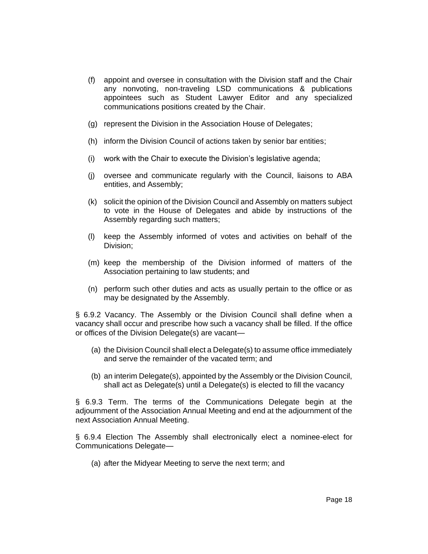- (f) appoint and oversee in consultation with the Division staff and the Chair any nonvoting, non-traveling LSD communications & publications appointees such as Student Lawyer Editor and any specialized communications positions created by the Chair.
- (g) represent the Division in the Association House of Delegates;
- (h) inform the Division Council of actions taken by senior bar entities;
- (i) work with the Chair to execute the Division's legislative agenda;
- (j) oversee and communicate regularly with the Council, liaisons to ABA entities, and Assembly;
- (k) solicit the opinion of the Division Council and Assembly on matters subject to vote in the House of Delegates and abide by instructions of the Assembly regarding such matters;
- (l) keep the Assembly informed of votes and activities on behalf of the Division;
- (m) keep the membership of the Division informed of matters of the Association pertaining to law students; and
- (n) perform such other duties and acts as usually pertain to the office or as may be designated by the Assembly.

§ 6.9.2 Vacancy. The Assembly or the Division Council shall define when a vacancy shall occur and prescribe how such a vacancy shall be filled. If the office or offices of the Division Delegate(s) are vacant—

- (a) the Division Council shall elect a Delegate(s) to assume office immediately and serve the remainder of the vacated term; and
- (b) an interim Delegate(s), appointed by the Assembly or the Division Council, shall act as Delegate(s) until a Delegate(s) is elected to fill the vacancy

§ 6.9.3 Term. The terms of the Communications Delegate begin at the adjournment of the Association Annual Meeting and end at the adjournment of the next Association Annual Meeting.

§ 6.9.4 Election The Assembly shall electronically elect a nominee-elect for Communications Delegate—

(a) after the Midyear Meeting to serve the next term; and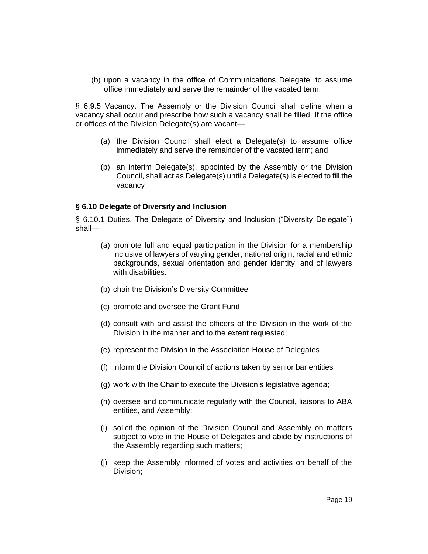(b) upon a vacancy in the office of Communications Delegate, to assume office immediately and serve the remainder of the vacated term.

§ 6.9.5 Vacancy. The Assembly or the Division Council shall define when a vacancy shall occur and prescribe how such a vacancy shall be filled. If the office or offices of the Division Delegate(s) are vacant—

- (a) the Division Council shall elect a Delegate(s) to assume office immediately and serve the remainder of the vacated term; and
- (b) an interim Delegate(s), appointed by the Assembly or the Division Council, shall act as Delegate(s) until a Delegate(s) is elected to fill the vacancy

#### **§ 6.10 Delegate of Diversity and Inclusion**

§ 6.10.1 Duties. The Delegate of Diversity and Inclusion ("Diversity Delegate") shall—

- (a) promote full and equal participation in the Division for a membership inclusive of lawyers of varying gender, national origin, racial and ethnic backgrounds, sexual orientation and gender identity, and of lawyers with disabilities.
- (b) chair the Division's Diversity Committee
- (c) promote and oversee the Grant Fund
- (d) consult with and assist the officers of the Division in the work of the Division in the manner and to the extent requested;
- (e) represent the Division in the Association House of Delegates
- (f) inform the Division Council of actions taken by senior bar entities
- (g) work with the Chair to execute the Division's legislative agenda;
- (h) oversee and communicate regularly with the Council, liaisons to ABA entities, and Assembly;
- (i) solicit the opinion of the Division Council and Assembly on matters subject to vote in the House of Delegates and abide by instructions of the Assembly regarding such matters;
- (j) keep the Assembly informed of votes and activities on behalf of the Division;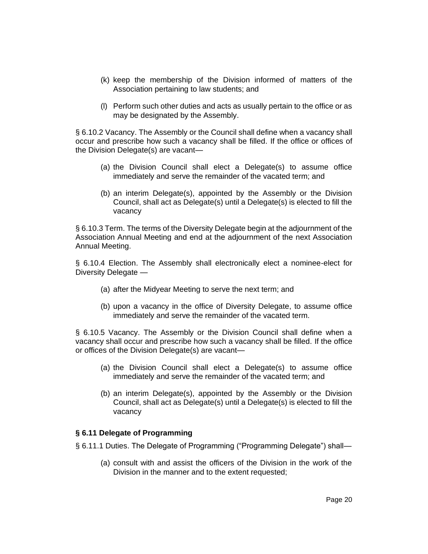- (k) keep the membership of the Division informed of matters of the Association pertaining to law students; and
- (l) Perform such other duties and acts as usually pertain to the office or as may be designated by the Assembly.

§ 6.10.2 Vacancy. The Assembly or the Council shall define when a vacancy shall occur and prescribe how such a vacancy shall be filled. If the office or offices of the Division Delegate(s) are vacant—

- (a) the Division Council shall elect a Delegate(s) to assume office immediately and serve the remainder of the vacated term; and
- (b) an interim Delegate(s), appointed by the Assembly or the Division Council, shall act as Delegate(s) until a Delegate(s) is elected to fill the vacancy

§ 6.10.3 Term. The terms of the Diversity Delegate begin at the adjournment of the Association Annual Meeting and end at the adjournment of the next Association Annual Meeting.

§ 6.10.4 Election. The Assembly shall electronically elect a nominee-elect for Diversity Delegate —

- (a) after the Midyear Meeting to serve the next term; and
- (b) upon a vacancy in the office of Diversity Delegate, to assume office immediately and serve the remainder of the vacated term.

§ 6.10.5 Vacancy. The Assembly or the Division Council shall define when a vacancy shall occur and prescribe how such a vacancy shall be filled. If the office or offices of the Division Delegate(s) are vacant—

- (a) the Division Council shall elect a Delegate(s) to assume office immediately and serve the remainder of the vacated term; and
- (b) an interim Delegate(s), appointed by the Assembly or the Division Council, shall act as Delegate(s) until a Delegate(s) is elected to fill the vacancy

#### **§ 6.11 Delegate of Programming**

- § 6.11.1 Duties. The Delegate of Programming ("Programming Delegate") shall—
	- (a) consult with and assist the officers of the Division in the work of the Division in the manner and to the extent requested;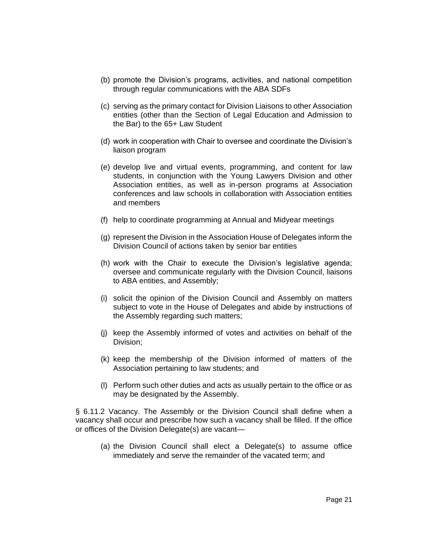- (b) promote the Division's programs, activities, and national competition through regular communications with the ABA SDFs
- (c) serving as the primary contact for Division Liaisons to other Association entities (other than the Section of Legal Education and Admission to the Bar) to the 65+ Law Student
- (d) work in cooperation with Chair to oversee and coordinate the Division's liaison program
- (e) develop live and virtual events, programming, and content for law students, in conjunction with the Young Lawyers Division and other Association entities, as well as in-person programs at Association conferences and law schools in collaboration with Association entities and members
- (f) help to coordinate programming at Annual and Midyear meetings
- (g) represent the Division in the Association House of Delegates inform the Division Council of actions taken by senior bar entities
- (h) work with the Chair to execute the Division's legislative agenda; oversee and communicate regularly with the Division Council, liaisons to ABA entities, and Assembly;
- (i) solicit the opinion of the Division Council and Assembly on matters subject to vote in the House of Delegates and abide by instructions of the Assembly regarding such matters;
- (j) keep the Assembly informed of votes and activities on behalf of the Division;
- (k) keep the membership of the Division informed of matters of the Association pertaining to law students; and
- (l) Perform such other duties and acts as usually pertain to the office or as may be designated by the Assembly.

§ 6.11.2 Vacancy. The Assembly or the Division Council shall define when a vacancy shall occur and prescribe how such a vacancy shall be filled. If the office or offices of the Division Delegate(s) are vacant—

(a) the Division Council shall elect a Delegate(s) to assume office immediately and serve the remainder of the vacated term; and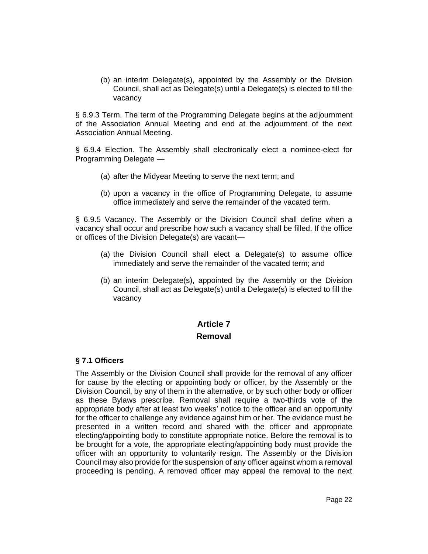(b) an interim Delegate(s), appointed by the Assembly or the Division Council, shall act as Delegate(s) until a Delegate(s) is elected to fill the vacancy

§ 6.9.3 Term. The term of the Programming Delegate begins at the adjournment of the Association Annual Meeting and end at the adjournment of the next Association Annual Meeting.

§ 6.9.4 Election. The Assembly shall electronically elect a nominee-elect for Programming Delegate —

- (a) after the Midyear Meeting to serve the next term; and
- (b) upon a vacancy in the office of Programming Delegate, to assume office immediately and serve the remainder of the vacated term.

§ 6.9.5 Vacancy. The Assembly or the Division Council shall define when a vacancy shall occur and prescribe how such a vacancy shall be filled. If the office or offices of the Division Delegate(s) are vacant—

- (a) the Division Council shall elect a Delegate(s) to assume office immediately and serve the remainder of the vacated term; and
- (b) an interim Delegate(s), appointed by the Assembly or the Division Council, shall act as Delegate(s) until a Delegate(s) is elected to fill the vacancy

# **Article 7 Removal**

#### **§ 7.1 Officers**

The Assembly or the Division Council shall provide for the removal of any officer for cause by the electing or appointing body or officer, by the Assembly or the Division Council, by any of them in the alternative, or by such other body or officer as these Bylaws prescribe. Removal shall require a two-thirds vote of the appropriate body after at least two weeks' notice to the officer and an opportunity for the officer to challenge any evidence against him or her. The evidence must be presented in a written record and shared with the officer and appropriate electing/appointing body to constitute appropriate notice. Before the removal is to be brought for a vote, the appropriate electing/appointing body must provide the officer with an opportunity to voluntarily resign. The Assembly or the Division Council may also provide for the suspension of any officer against whom a removal proceeding is pending. A removed officer may appeal the removal to the next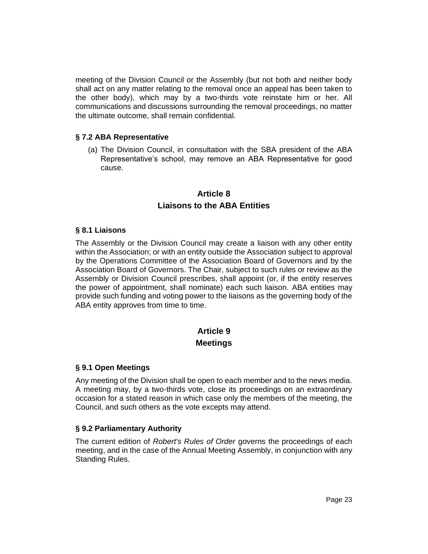meeting of the Division Council or the Assembly (but not both and neither body shall act on any matter relating to the removal once an appeal has been taken to the other body), which may by a two-thirds vote reinstate him or her. All communications and discussions surrounding the removal proceedings, no matter the ultimate outcome, shall remain confidential.

#### **§ 7.2 ABA Representative**

(a) The Division Council, in consultation with the SBA president of the ABA Representative's school, may remove an ABA Representative for good cause.

# **Article 8 Liaisons to the ABA Entities**

#### **§ 8.1 Liaisons**

The Assembly or the Division Council may create a liaison with any other entity within the Association; or with an entity outside the Association subject to approval by the Operations Committee of the Association Board of Governors and by the Association Board of Governors. The Chair, subject to such rules or review as the Assembly or Division Council prescribes, shall appoint (or, if the entity reserves the power of appointment, shall nominate) each such liaison. ABA entities may provide such funding and voting power to the liaisons as the governing body of the ABA entity approves from time to time.

# **Article 9 Meetings**

#### **§ 9.1 Open Meetings**

Any meeting of the Division shall be open to each member and to the news media. A meeting may, by a two-thirds vote, close its proceedings on an extraordinary occasion for a stated reason in which case only the members of the meeting, the Council, and such others as the vote excepts may attend.

#### **§ 9.2 Parliamentary Authority**

The current edition of *Robert's Rules of Order* governs the proceedings of each meeting, and in the case of the Annual Meeting Assembly, in conjunction with any Standing Rules.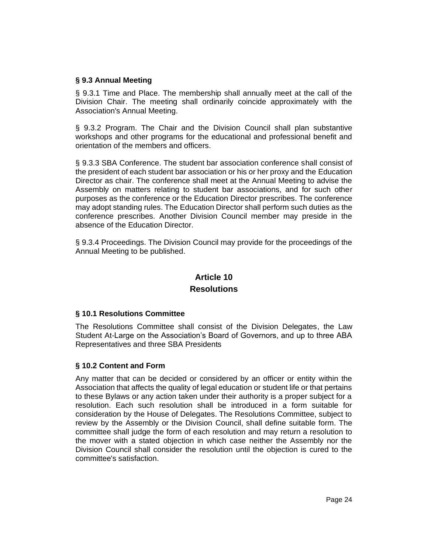#### **§ 9.3 Annual Meeting**

§ 9.3.1 Time and Place. The membership shall annually meet at the call of the Division Chair. The meeting shall ordinarily coincide approximately with the Association's Annual Meeting.

§ 9.3.2 Program. The Chair and the Division Council shall plan substantive workshops and other programs for the educational and professional benefit and orientation of the members and officers.

§ 9.3.3 SBA Conference. The student bar association conference shall consist of the president of each student bar association or his or her proxy and the Education Director as chair. The conference shall meet at the Annual Meeting to advise the Assembly on matters relating to student bar associations, and for such other purposes as the conference or the Education Director prescribes. The conference may adopt standing rules. The Education Director shall perform such duties as the conference prescribes. Another Division Council member may preside in the absence of the Education Director.

§ 9.3.4 Proceedings. The Division Council may provide for the proceedings of the Annual Meeting to be published.

# **Article 10 Resolutions**

# **§ 10.1 Resolutions Committee**

The Resolutions Committee shall consist of the Division Delegates, the Law Student At-Large on the Association's Board of Governors, and up to three ABA Representatives and three SBA Presidents

# **§ 10.2 Content and Form**

Any matter that can be decided or considered by an officer or entity within the Association that affects the quality of legal education or student life or that pertains to these Bylaws or any action taken under their authority is a proper subject for a resolution. Each such resolution shall be introduced in a form suitable for consideration by the House of Delegates. The Resolutions Committee, subject to review by the Assembly or the Division Council, shall define suitable form. The committee shall judge the form of each resolution and may return a resolution to the mover with a stated objection in which case neither the Assembly nor the Division Council shall consider the resolution until the objection is cured to the committee's satisfaction.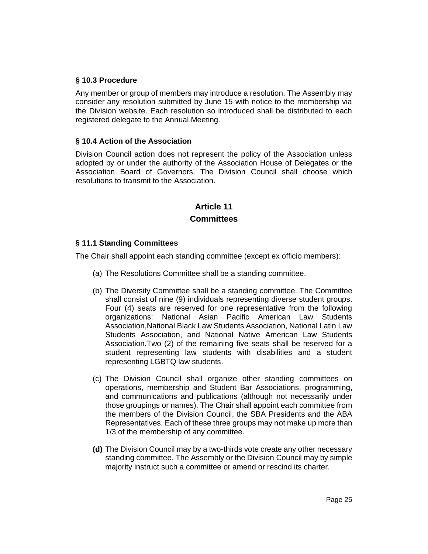#### **§ 10.3 Procedure**

Any member or group of members may introduce a resolution. The Assembly may consider any resolution submitted by June 15 with notice to the membership via the Division website. Each resolution so introduced shall be distributed to each registered delegate to the Annual Meeting.

#### **§ 10.4 Action of the Association**

Division Council action does not represent the policy of the Association unless adopted by or under the authority of the Association House of Delegates or the Association Board of Governors. The Division Council shall choose which resolutions to transmit to the Association.

# **Article 11 Committees**

#### **§ 11.1 Standing Committees**

The Chair shall appoint each standing committee (except ex officio members):

- (a) The Resolutions Committee shall be a standing committee.
- (b) The Diversity Committee shall be a standing committee. The Committee shall consist of nine (9) individuals representing diverse student groups. Four (4) seats are reserved for one representative from the following organizations: National Asian Pacific American Law Students Association,National Black Law Students Association, National Latin Law Students Association, and National Native American Law Students Association.Two (2) of the remaining five seats shall be reserved for a student representing law students with disabilities and a student representing LGBTQ law students.
- (c) The Division Council shall organize other standing committees on operations, membership and Student Bar Associations, programming, and communications and publications (although not necessarily under those groupings or names). The Chair shall appoint each committee from the members of the Division Council, the SBA Presidents and the ABA Representatives. Each of these three groups may not make up more than 1/3 of the membership of any committee.
- **(d)** The Division Council may by a two-thirds vote create any other necessary standing committee. The Assembly or the Division Council may by simple majority instruct such a committee or amend or rescind its charter.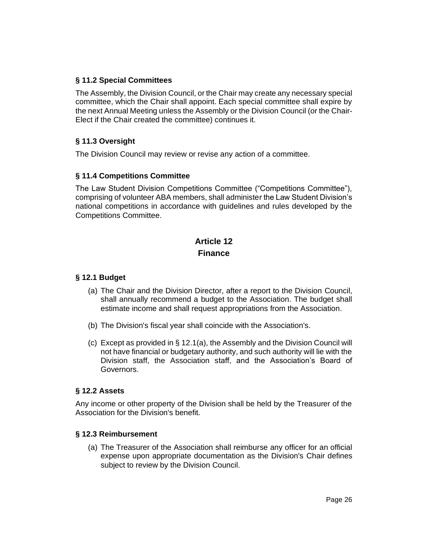#### **§ 11.2 Special Committees**

The Assembly, the Division Council, or the Chair may create any necessary special committee, which the Chair shall appoint. Each special committee shall expire by the next Annual Meeting unless the Assembly or the Division Council (or the Chair-Elect if the Chair created the committee) continues it.

### **§ 11.3 Oversight**

The Division Council may review or revise any action of a committee.

#### **§ 11.4 Competitions Committee**

The Law Student Division Competitions Committee ("Competitions Committee"), comprising of volunteer ABA members, shall administer the Law Student Division's national competitions in accordance with guidelines and rules developed by the Competitions Committee.

# **Article 12 Finance**

#### **§ 12.1 Budget**

- (a) The Chair and the Division Director, after a report to the Division Council, shall annually recommend a budget to the Association. The budget shall estimate income and shall request appropriations from the Association.
- (b) The Division's fiscal year shall coincide with the Association's.
- (c) Except as provided in § 12.1(a), the Assembly and the Division Council will not have financial or budgetary authority, and such authority will lie with the Division staff, the Association staff, and the Association's Board of Governors.

#### **§ 12.2 Assets**

Any income or other property of the Division shall be held by the Treasurer of the Association for the Division's benefit.

#### **§ 12.3 Reimbursement**

(a) The Treasurer of the Association shall reimburse any officer for an official expense upon appropriate documentation as the Division's Chair defines subject to review by the Division Council.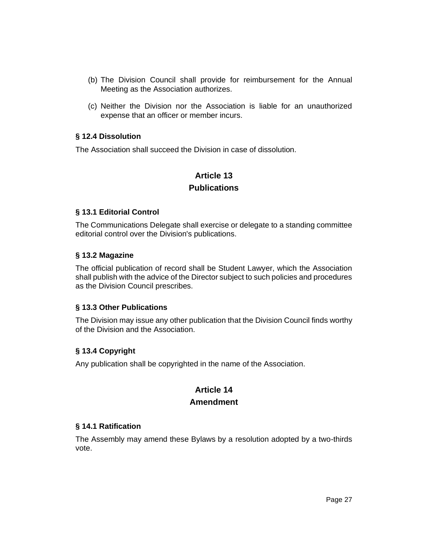- (b) The Division Council shall provide for reimbursement for the Annual Meeting as the Association authorizes.
- (c) Neither the Division nor the Association is liable for an unauthorized expense that an officer or member incurs.

#### **§ 12.4 Dissolution**

The Association shall succeed the Division in case of dissolution.

# **Article 13 Publications**

#### **§ 13.1 Editorial Control**

The Communications Delegate shall exercise or delegate to a standing committee editorial control over the Division's publications.

#### **§ 13.2 Magazine**

The official publication of record shall be Student Lawyer, which the Association shall publish with the advice of the Director subject to such policies and procedures as the Division Council prescribes.

#### **§ 13.3 Other Publications**

The Division may issue any other publication that the Division Council finds worthy of the Division and the Association.

# **§ 13.4 Copyright**

Any publication shall be copyrighted in the name of the Association.

# **Article 14**

#### **Amendment**

#### **§ 14.1 Ratification**

The Assembly may amend these Bylaws by a resolution adopted by a two-thirds vote.